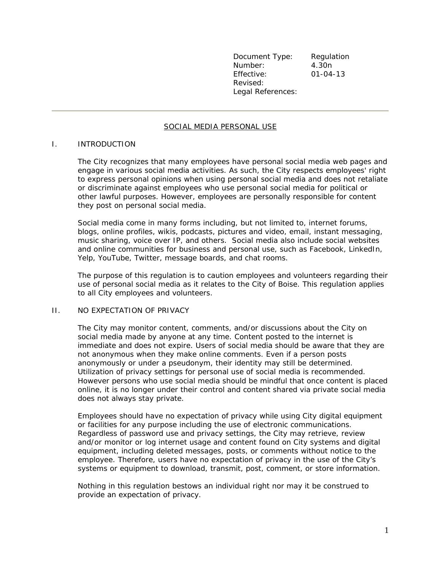Document Type: Regulation Number: 4.30n Effective: 01-04-13 Revised: Legal References:

# SOCIAL MEDIA PERSONAL USE

### I. INTRODUCTION

The City recognizes that many employees have personal social media web pages and engage in various social media activities. As such, the City respects employees' right to express personal opinions when using personal social media and does not retaliate or discriminate against employees who use personal social media for political or other lawful purposes. However, employees are personally responsible for content they post on personal social media.

Social media come in many forms including, but not limited to, internet forums, blogs, online profiles, wikis, podcasts, pictures and video, email, instant messaging, music sharing, voice over IP, and others. Social media also include social websites and online communities for business and personal use, such as Facebook, LinkedIn, Yelp, YouTube, Twitter, message boards, and chat rooms.

The purpose of this regulation is to caution employees and volunteers regarding their use of personal social media as it relates to the City of Boise. This regulation applies to all City employees and volunteers.

#### II. NO EXPECTATION OF PRIVACY

The City may monitor content, comments, and/or discussions about the City on social media made by anyone at any time. Content posted to the internet is immediate and does not expire. Users of social media should be aware that they are not anonymous when they make online comments. Even if a person posts anonymously or under a pseudonym, their identity may still be determined. Utilization of privacy settings for personal use of social media is recommended. However persons who use social media should be mindful that once content is placed online, it is no longer under their control and content shared via private social media does not always stay private.

Employees should have no expectation of privacy while using City digital equipment or facilities for any purpose including the use of electronic communications. Regardless of password use and privacy settings, the City may retrieve, review and/or monitor or log internet usage and content found on City systems and digital equipment, including deleted messages, posts, or comments without notice to the employee. Therefore, users have no expectation of privacy in the use of the City's systems or equipment to download, transmit, post, comment, or store information.

Nothing in this regulation bestows an individual right nor may it be construed to provide an expectation of privacy.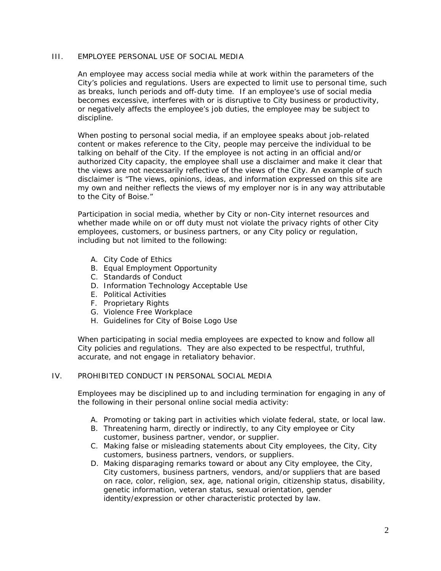# III. EMPLOYEE PERSONAL USE OF SOCIAL MEDIA

An employee may access social media while at work within the parameters of the City's policies and regulations. Users are expected to limit use to personal time, such as breaks, lunch periods and off-duty time. If an employee's use of social media becomes excessive, interferes with or is disruptive to City business or productivity, or negatively affects the employee's job duties, the employee may be subject to discipline.

When posting to personal social media, if an employee speaks about job-related content or makes reference to the City, people may perceive the individual to be talking on behalf of the City. If the employee is not acting in an official and/or authorized City capacity, the employee shall use a disclaimer and make it clear that the views are not necessarily reflective of the views of the City. An example of such disclaimer is "The views, opinions, ideas, and information expressed on this site are my own and neither reflects the views of my employer nor is in any way attributable to the City of Boise."

Participation in social media, whether by City or non-City internet resources and whether made while on or off duty must not violate the privacy rights of other City employees, customers, or business partners, or any City policy or regulation, including but not limited to the following:

- A. City Code of Ethics
- B. Equal Employment Opportunity
- C. Standards of Conduct
- D. Information Technology Acceptable Use
- E. Political Activities
- F. Proprietary Rights
- G. Violence Free Workplace
- H. Guidelines for City of Boise Logo Use

When participating in social media employees are expected to know and follow all City policies and regulations. They are also expected to be respectful, truthful, accurate, and not engage in retaliatory behavior.

### IV. PROHIBITED CONDUCT IN PERSONAL SOCIAL MEDIA

Employees may be disciplined up to and including termination for engaging in any of the following in their personal online social media activity:

- A. Promoting or taking part in activities which violate federal, state, or local law.
- B. Threatening harm, directly or indirectly, to any City employee or City customer, business partner, vendor, or supplier.
- C. Making false or misleading statements about City employees, the City, City customers, business partners, vendors, or suppliers.
- D. Making disparaging remarks toward or about any City employee, the City, City customers, business partners, vendors, and/or suppliers that are based on race, color, religion, sex, age, national origin, citizenship status, disability, genetic information, veteran status, sexual orientation, gender identity/expression or other characteristic protected by law.